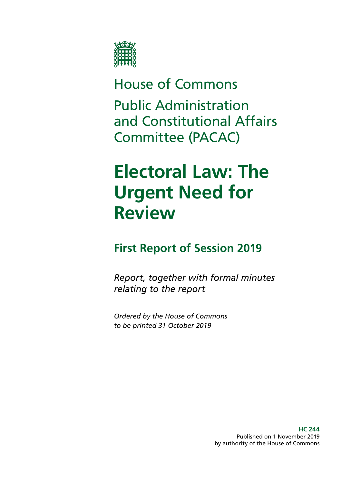

## House of Commons

Public Administration and Constitutional Affairs Committee (PACAC)

# **Electoral Law: The Urgent Need for Review**

## **First Report of Session 2019**

*Report, together with formal minutes relating to the report*

*Ordered by the House of Commons to be printed 31 October 2019*

> **HC 244** Published on 1 November 2019 by authority of the House of Commons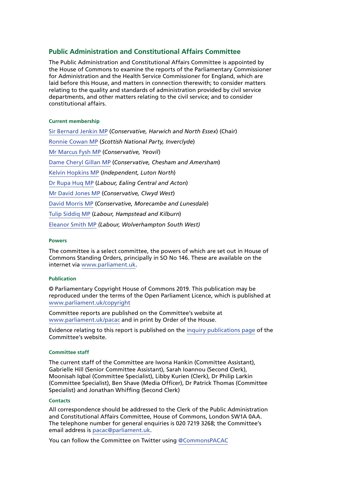### **Public Administration and Constitutional Affairs Committee**

The Public Administration and Constitutional Affairs Committee is appointed by the House of Commons to examine the reports of the Parliamentary Commissioner for Administration and the Health Service Commissioner for England, which are laid before this House, and matters in connection therewith; to consider matters relating to the quality and standards of administration provided by civil service departments, and other matters relating to the civil service; and to consider constitutional affairs.

#### **Current membership**

[Sir Bernard Jenkin MP](https://www.parliament.uk/biographies/commons/mr-bernard-jenkin/40) (*Conservative, Harwich and North Essex*) (Chair) [Ronnie Cowan MP](https://www.parliament.uk/biographies/commons/ronnie-cowan/4465) (*Scottish National Party, Inverclyde*) [Mr Marcus Fysh MP](https://www.parliament.uk/biographies/commons/mr-marcus-fysh/4446) (*Conservative, Yeovil*) [Dame Cheryl Gillan MP](https://www.parliament.uk/biographies/commons/mrs-cheryl-gillan/18) (*Conservative, Chesham and Amersham*) [Kelvin Hopkins MP](https://www.parliament.uk/biographies/commons/kelvin-hopkins/2) (*Independent, Luton North*) [Dr Rupa Huq MP](https://www.parliament.uk/biographies/commons/dr-rupa-huq/4511) (*Labour, Ealing Central and Acton*) [Mr David Jones MP](https://www.parliament.uk/biographies/commons/david-jones/1502) (*Conservative, Clwyd West*) [David Morris MP](https://www.parliament.uk/biographies/commons/david-morris/4135) (*Conservative, Morecambe and Lunesdale*) [Tulip Siddiq MP](https://www.parliament.uk/biographies/commons/tulip-siddiq/4518) (*Labour, Hampstead and Kilburn*) [Eleanor Smith MP](https://www.parliament.uk/biographies/commons/eleanor-smith/4609) *(Labour, Wolverhampton South West)*

#### **Powers**

The committee is a select committee, the powers of which are set out in House of Commons Standing Orders, principally in SO No 146. These are available on the internet via [www.parliament.uk](http://www.parliament.uk).

#### **Publication**

© Parliamentary Copyright House of Commons 2019. This publication may be reproduced under the terms of the Open Parliament Licence, which is published at [www.parliament.uk/copyright](http://www.parliament.uk/copyright)

Committee reports are published on the Committee's website at [www.parliament.uk/pacac](https://www.parliament.uk/business/committees/committees-a-z/commons-select/public-administration-and-constitutional-affairs-committee/) and in print by Order of the House.

Evidence relating to this report is published on the [inquiry publications page](https://www.parliament.uk/business/committees/committees-a-z/commons-select/public-administration-and-constitutional-affairs-committee/inquiries/parliament-2017/electoral-law-inquiry-17-19/publications/) of the Committee's website.

#### **Committee staff**

The current staff of the Committee are Iwona Hankin (Committee Assistant), Gabrielle Hill (Senior Committee Assistant), Sarah Ioannou (Second Clerk), Moonisah Iqbal (Committee Specialist), Libby Kurien (Clerk), Dr Philip Larkin (Committee Specialist), Ben Shave (Media Officer), Dr Patrick Thomas (Committee Specialist) and Jonathan Whiffing (Second Clerk)

#### **Contacts**

All correspondence should be addressed to the Clerk of the Public Administration and Constitutional Affairs Committee, House of Commons, London SW1A 0AA. The telephone number for general enquiries is 020 7219 3268; the Committee's email address is [pacac@parliament.uk.](mailto:pacac%40parliament.uk?subject=)

You can follow the Committee on Twitter using [@CommonsPACAC](https://twitter.com/CommonsPACAC)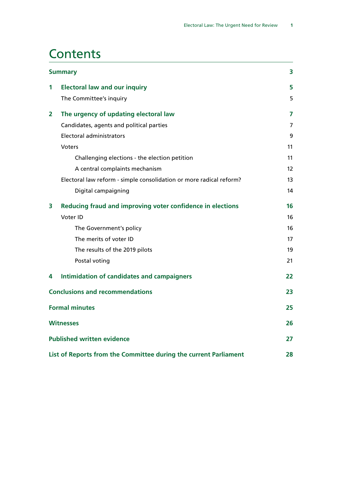## **Contents**

| <b>Summary</b> |                                                                     | 3  |
|----------------|---------------------------------------------------------------------|----|
| 1              | <b>Electoral law and our inquiry</b>                                | 5  |
|                | The Committee's inquiry                                             | 5  |
| 2              | The urgency of updating electoral law                               | 7  |
|                | Candidates, agents and political parties                            | 7  |
|                | Electoral administrators                                            | 9  |
|                | <b>Voters</b>                                                       | 11 |
|                | Challenging elections - the election petition                       | 11 |
|                | A central complaints mechanism                                      | 12 |
|                | Electoral law reform - simple consolidation or more radical reform? | 13 |
|                | Digital campaigning                                                 | 14 |
| 3              | Reducing fraud and improving voter confidence in elections          | 16 |
|                | Voter ID                                                            | 16 |
|                | The Government's policy                                             | 16 |
|                | The merits of voter ID                                              | 17 |
|                | The results of the 2019 pilots                                      | 19 |
|                | Postal voting                                                       | 21 |
| 4              | Intimidation of candidates and campaigners                          | 22 |
|                | <b>Conclusions and recommendations</b>                              | 23 |
|                | <b>Formal minutes</b>                                               | 25 |
|                | <b>Witnesses</b>                                                    | 26 |
|                | <b>Published written evidence</b>                                   | 27 |
|                | List of Reports from the Committee during the current Parliament    | 28 |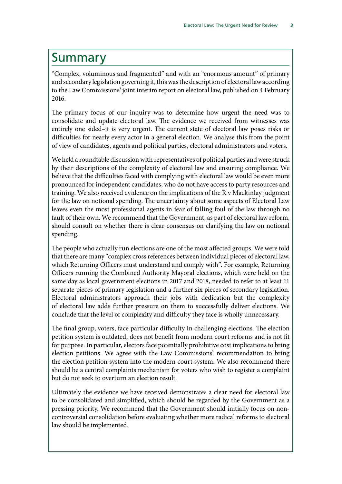## <span id="page-4-0"></span>Summary

"Complex, voluminous and fragmented" and with an "enormous amount" of primary and secondary legislation governing it, this was the description of electoral law according to the Law Commissions' joint interim report on electoral law, published on 4 February 2016.

The primary focus of our inquiry was to determine how urgent the need was to consolidate and update electoral law. The evidence we received from witnesses was entirely one sided–it is very urgent. The current state of electoral law poses risks or difficulties for nearly every actor in a general election. We analyse this from the point of view of candidates, agents and political parties, electoral administrators and voters.

We held a roundtable discussion with representatives of political parties and were struck by their descriptions of the complexity of electoral law and ensuring compliance. We believe that the difficulties faced with complying with electoral law would be even more pronounced for independent candidates, who do not have access to party resources and training. We also received evidence on the implications of the R v Mackinlay judgment for the law on notional spending. The uncertainty about some aspects of Electoral Law leaves even the most professional agents in fear of falling foul of the law through no fault of their own. We recommend that the Government, as part of electoral law reform, should consult on whether there is clear consensus on clarifying the law on notional spending.

The people who actually run elections are one of the most affected groups. We were told that there are many "complex cross references between individual pieces of electoral law, which Returning Officers must understand and comply with". For example, Returning Officers running the Combined Authority Mayoral elections, which were held on the same day as local government elections in 2017 and 2018, needed to refer to at least 11 separate pieces of primary legislation and a further six pieces of secondary legislation. Electoral administrators approach their jobs with dedication but the complexity of electoral law adds further pressure on them to successfully deliver elections. We conclude that the level of complexity and difficulty they face is wholly unnecessary.

The final group, voters, face particular difficulty in challenging elections. The election petition system is outdated, does not benefit from modern court reforms and is not fit for purpose. In particular, electors face potentially prohibitive cost implications to bring election petitions. We agree with the Law Commissions' recommendation to bring the election petition system into the modern court system. We also recommend there should be a central complaints mechanism for voters who wish to register a complaint but do not seek to overturn an election result.

Ultimately the evidence we have received demonstrates a clear need for electoral law to be consolidated and simplified, which should be regarded by the Government as a pressing priority. We recommend that the Government should initially focus on noncontroversial consolidation before evaluating whether more radical reforms to electoral law should be implemented.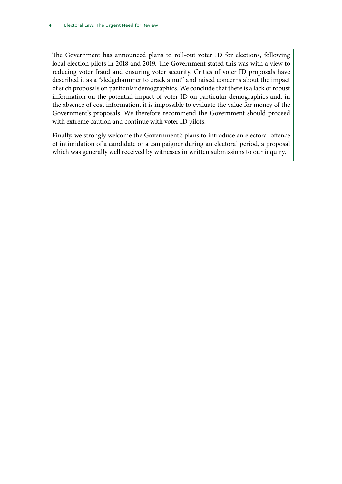The Government has announced plans to roll-out voter ID for elections, following local election pilots in 2018 and 2019. The Government stated this was with a view to reducing voter fraud and ensuring voter security. Critics of voter ID proposals have described it as a "sledgehammer to crack a nut" and raised concerns about the impact of such proposals on particular demographics. We conclude that there is a lack of robust information on the potential impact of voter ID on particular demographics and, in the absence of cost information, it is impossible to evaluate the value for money of the Government's proposals. We therefore recommend the Government should proceed with extreme caution and continue with voter ID pilots.

Finally, we strongly welcome the Government's plans to introduce an electoral offence of intimidation of a candidate or a campaigner during an electoral period, a proposal which was generally well received by witnesses in written submissions to our inquiry.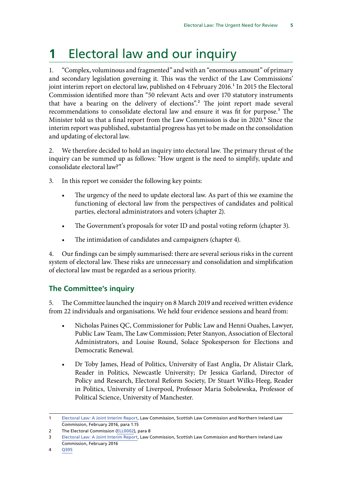## <span id="page-6-0"></span>**1** Electoral law and our inquiry

1. "Complex, voluminous and fragmented" and with an "enormous amount" of primary and secondary legislation governing it. This was the verdict of the Law Commissions' joint interim report on electoral law, published on 4 February 2016.<sup>1</sup> In 2015 the Electoral Commission identified more than "50 relevant Acts and over 170 statutory instruments that have a bearing on the delivery of elections".2 The joint report made several recommendations to consolidate electoral law and ensure it was fit for purpose.<sup>3</sup> The Minister told us that a final report from the Law Commission is due in 2020.<sup>4</sup> Since the interim report was published, substantial progress has yet to be made on the consolidation and updating of electoral law.

2. We therefore decided to hold an inquiry into electoral law. The primary thrust of the inquiry can be summed up as follows: "How urgent is the need to simplify, update and consolidate electoral law?"

- 3. In this report we consider the following key points:
	- The urgency of the need to update electoral law. As part of this we examine the functioning of electoral law from the perspectives of candidates and political parties, electoral administrators and voters (chapter 2).
	- The Government's proposals for voter ID and postal voting reform (chapter 3).
	- The intimidation of candidates and campaigners (chapter 4).

4. Our findings can be simply summarised: there are several serious risks in the current system of electoral law. These risks are unnecessary and consolidation and simplification of electoral law must be regarded as a serious priority.

## **The Committee's inquiry**

5. The Committee launched the inquiry on 8 March 2019 and received written evidence from 22 individuals and organisations. We held four evidence sessions and heard from:

- Nicholas Paines QC, Commissioner for Public Law and Henni Ouahes, Lawyer, Public Law Team, The Law Commission; Peter Stanyon, Association of Electoral Administrators, and Louise Round, Solace Spokesperson for Elections and Democratic Renewal.
- Dr Toby James, Head of Politics, University of East Anglia, Dr Alistair Clark, Reader in Politics, Newcastle University; Dr Jessica Garland, Director of Policy and Research, Electoral Reform Society, Dr Stuart Wilks-Heeg, Reader in Politics, University of Liverpool, Professor Maria Sobolewska, Professor of Political Science, University of Manchester.

<sup>1</sup> [Electoral Law: A Joint Interim Report,](https://s3-eu-west-2.amazonaws.com/lawcom-prod-storage-11jsxou24uy7q/uploads/2016/02/electoral_law_interim_report.pdf) Law Commission, Scottish Law Commission and Northern Ireland Law Commission, February 2016, para 1.15

<sup>2</sup> The Electoral Commission ([ELL0002](http://data.parliament.uk/writtenevidence/committeeevidence.svc/evidencedocument/public-administration-and-constitutional-affairs-committee/electoral-law/written/101233.html)), para 8

<sup>3</sup> [Electoral Law: A Joint Interim Report,](https://s3-eu-west-2.amazonaws.com/lawcom-prod-storage-11jsxou24uy7q/uploads/2016/02/electoral_law_interim_report.pdf) Law Commission, Scottish Law Commission and Northern Ireland Law Commission, February 2016

<sup>4</sup> [Q305](http://data.parliament.uk/writtenevidence/committeeevidence.svc/evidencedocument/public-administration-and-constitutional-affairs-committee/electoral-law/oral/106515.html)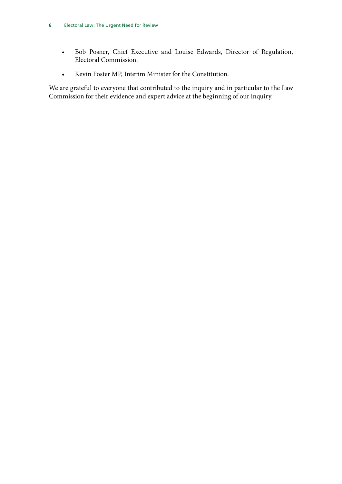- Bob Posner, Chief Executive and Louise Edwards, Director of Regulation, Electoral Commission.
- Kevin Foster MP, Interim Minister for the Constitution.

We are grateful to everyone that contributed to the inquiry and in particular to the Law Commission for their evidence and expert advice at the beginning of our inquiry.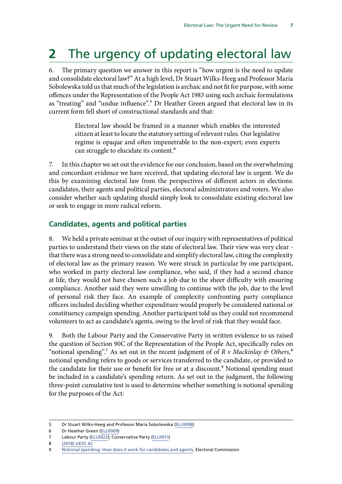## <span id="page-8-0"></span>**2** The urgency of updating electoral law

6. The primary question we answer in this report is "how urgent is the need to update and consolidate electoral law?" At a high level, Dr Stuart Wilks-Heeg and Professor Maria Sobolewska told us that much of the legislation is archaic and not fit for purpose, with some offences under the Representation of the People Act 1983 using such archaic formulations as "treating" and "undue influence".<sup>5</sup> Dr Heather Green argued that electoral law in its current form fell short of constructional standards and that:

> Electoral law should be framed in a manner which enables the interested citizen at least to locate the statutory setting of relevant rules. Our legislative regime is opaque and often impenetrable to the non-expert; even experts can struggle to elucidate its content.6

7. In this chapter we set out the evidence for our conclusion, based on the overwhelming and concordant evidence we have received, that updating electoral law is urgent. We do this by examining electoral law from the perspectives of different actors in elections: candidates, their agents and political parties, electoral administrators and voters. We also consider whether such updating should simply look to consolidate existing electoral law or seek to engage in more radical reform.

## **Candidates, agents and political parties**

8. We held a private seminar at the outset of our inquiry with representatives of political parties to understand their views on the state of electoral law. Their view was very clear that there was a strong need to consolidate and simplify electoral law, citing the complexity of electoral law as the primary reason. We were struck in particular by one participant, who worked in party electoral law compliance, who said, if they had a second chance at life, they would not have chosen such a job due to the sheer difficulty with ensuring compliance. Another said they were unwilling to continue with the job, due to the level of personal risk they face. An example of complexity confronting party compliance officers included deciding whether expenditure would properly be considered national or constituency campaign spending. Another participant told us they could not recommend volunteers to act as candidate's agents, owing to the level of risk that they would face.

9. Both the Labour Party and the Conservative Party in written evidence to us raised the question of Section 90C of the Representation of the People Act, specifically rules on "notional spending".<sup>7</sup> As set out in the recent judgment of of  $R$  v Mackinlay  $\phi$  Others,<sup>8</sup> notional spending refers to goods or services transferred to the candidate, or provided to the candidate for their use or benefit for free or at a discount.<sup>9</sup> Notional spending must be included in a candidate's spending return. As set out in the judgment, the following three-point cumulative test is used to determine whether something is notional spending for the purposes of the Act:

6 Dr Heather Green ([ELL0009](http://data.parliament.uk/writtenevidence/committeeevidence.svc/evidencedocument/public-administration-and-constitutional-affairs-committee/electoral-law/written/102563.html))

<sup>5</sup> Dr Stuart Wilks-Heeg and Professor Maria Sobolewska [\(ELL0008\)](http://data.parliament.uk/writtenevidence/committeeevidence.svc/evidencedocument/public-administration-and-constitutional-affairs-committee/electoral-law/written/102542.html)

<sup>7</sup> Labour Party [\(ELL0022\)](http://data.parliament.uk/writtenevidence/committeeevidence.svc/evidencedocument/public-administration-and-constitutional-affairs-committee/electoral-law/written/102832.html); Conservative Party ([ELL0011\)](http://data.parliament.uk/writtenevidence/committeeevidence.svc/evidencedocument/public-administration-and-constitutional-affairs-committee/electoral-law/written/102694.html)

<sup>8</sup> [\[2018\] UKSC 42](https://www.supremecourt.uk/cases/docs/uksc-2018-0091-judgment.pdf)

<sup>9</sup> [Notional spending: How does it work for candidates and agents](https://www.electoralcommission.org.uk/__data/assets/pdf_file/0007/253906/Notional-Spending-Factsheet-2019.pdf), Electoral Commission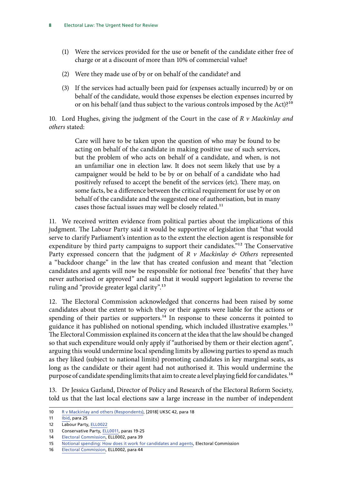- (1) Were the services provided for the use or benefit of the candidate either free of charge or at a discount of more than 10% of commercial value?
- (2) Were they made use of by or on behalf of the candidate? and
- (3) If the services had actually been paid for (expenses actually incurred) by or on behalf of the candidate, would those expenses be election expenses incurred by or on his behalf (and thus subject to the various controls imposed by the Act)?10

10. Lord Hughes, giving the judgment of the Court in the case of *R v Mackinlay and others* stated:

> Care will have to be taken upon the question of who may be found to be acting on behalf of the candidate in making positive use of such services, but the problem of who acts on behalf of a candidate, and when, is not an unfamiliar one in election law. It does not seem likely that use by a campaigner would be held to be by or on behalf of a candidate who had positively refused to accept the benefit of the services (etc). There may, on some facts, be a difference between the critical requirement for use by or on behalf of the candidate and the suggested one of authorisation, but in many cases those factual issues may well be closely related.11

11. We received written evidence from political parties about the implications of this judgment. The Labour Party said it would be supportive of legislation that "that would serve to clarify Parliament's intention as to the extent the election agent is responsible for expenditure by third party campaigns to support their candidates."<sup>12</sup> The Conservative Party expressed concern that the judgment of *R v Mackinlay & Others* represented a "backdoor change" in the law that has created confusion and meant that "election candidates and agents will now be responsible for notional free 'benefits' that they have never authorised or approved" and said that it would support legislation to reverse the ruling and "provide greater legal clarity".<sup>13</sup>

12. The Electoral Commission acknowledged that concerns had been raised by some candidates about the extent to which they or their agents were liable for the actions or spending of their parties or supporters.<sup>14</sup> In response to these concerns it pointed to guidance it has published on notional spending, which included illustrative examples.<sup>15</sup> The Electoral Commission explained its concern at the idea that the law should be changed so that such expenditure would only apply if "authorised by them or their election agent", arguing this would undermine local spending limits by allowing parties to spend as much as they liked (subject to national limits) promoting candidates in key marginal seats, as long as the candidate or their agent had not authorised it. This would undermine the purpose of candidate spending limits that aim to create a level playing field for candidates.<sup>16</sup>

13. Dr Jessica Garland, Director of Policy and Research of the Electoral Reform Society, told us that the last local elections saw a large increase in the number of independent

- 13 Conservative Party, [ELL0011,](http://data.parliament.uk/writtenevidence/committeeevidence.svc/evidencedocument/public-administration-and-constitutional-affairs-committee/electoral-law/written/102694.pdf) paras 19-25
- 14 [Electoral Commission,](http://data.parliament.uk/writtenevidence/committeeevidence.svc/evidencedocument/public-administration-and-constitutional-affairs-committee/electoral-law/written/101233.pdf) ELL0002, para 39

16 [Electoral Commission,](http://data.parliament.uk/writtenevidence/committeeevidence.svc/evidencedocument/public-administration-and-constitutional-affairs-committee/electoral-law/written/101233.pdf) ELL0002, para 44

<sup>10</sup> [R v Mackinlay and others \(Respondents\),](https://www.supremecourt.uk/cases/docs/uksc-2018-0091-judgment.pdf) [2018] UKSC 42, para 18

<sup>11</sup> **[Ibid,](https://www.supremecourt.uk/cases/docs/uksc-2018-0091-judgment.pdf) para 25** 

<sup>12</sup> Labour Party, [ELL0022](http://data.parliament.uk/writtenevidence/committeeevidence.svc/evidencedocument/public-administration-and-constitutional-affairs-committee/electoral-law/written/102832.pdf)

<sup>15</sup> [Notional spending: How does it work for candidates and agents](https://www.electoralcommission.org.uk/__data/assets/pdf_file/0007/253906/Notional-Spending-Factsheet-2019.pdf), Electoral Commission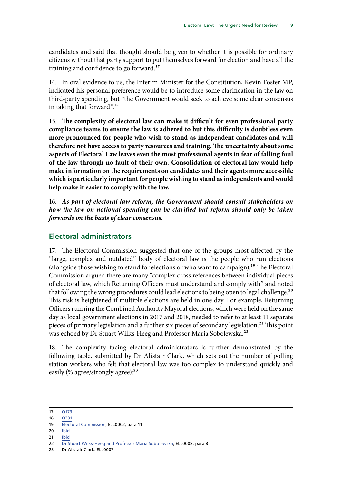<span id="page-10-0"></span>candidates and said that thought should be given to whether it is possible for ordinary citizens without that party support to put themselves forward for election and have all the training and confidence to go forward.<sup>17</sup>

14. In oral evidence to us, the Interim Minister for the Constitution, Kevin Foster MP, indicated his personal preference would be to introduce some clarification in the law on third-party spending, but "the Government would seek to achieve some clear consensus in taking that forward".<sup>18</sup>

15. **The complexity of electoral law can make it difficult for even professional party compliance teams to ensure the law is adhered to but this difficulty is doubtless even more pronounced for people who wish to stand as independent candidates and will therefore not have access to party resources and training. The uncertainty about some aspects of Electoral Law leaves even the most professional agents in fear of falling foul of the law through no fault of their own. Consolidation of electoral law would help make information on the requirements on candidates and their agents more accessible which is particularly important for people wishing to stand as independents and would help make it easier to comply with the law.**

16. *As part of electoral law reform, the Government should consult stakeholders on how the law on notional spending can be clarified but reform should only be taken forwards on the basis of clear consensus.*

### **Electoral administrators**

17. The Electoral Commission suggested that one of the groups most affected by the "large, complex and outdated" body of electoral law is the people who run elections (alongside those wishing to stand for elections or who want to campaign).19 The Electoral Commission argued there are many "complex cross references between individual pieces of electoral law, which Returning Officers must understand and comply with" and noted that following the wrong procedures could lead elections to being open to legal challenge.<sup>20</sup> This risk is heightened if multiple elections are held in one day. For example, Returning Officers running the Combined Authority Mayoral elections, which were held on the same day as local government elections in 2017 and 2018, needed to refer to at least 11 separate pieces of primary legislation and a further six pieces of secondary legislation.<sup>21</sup> This point was echoed by Dr Stuart Wilks-Heeg and Professor Maria Sobolewska.<sup>22</sup>

18. The complexity facing electoral administrators is further demonstrated by the following table, submitted by Dr Alistair Clark, which sets out the number of polling station workers who felt that electoral law was too complex to understand quickly and easily (% agree/strongly agree):<sup>23</sup>

23 Dr Alistair Clark: ELL0007

<sup>17</sup> [Q173](http://data.parliament.uk/writtenevidence/committeeevidence.svc/evidencedocument/public-administration-and-constitutional-affairs-committee/electoral-law/oral/103825.pdf)

<sup>18</sup> [Q331](http://data.parliament.uk/writtenevidence/committeeevidence.svc/evidencedocument/public-administration-and-constitutional-affairs-committee/electoral-law/oral/106515.html)

<sup>19</sup> [Electoral Commission,](http://data.parliament.uk/writtenevidence/committeeevidence.svc/evidencedocument/public-administration-and-constitutional-affairs-committee/electoral-law/written/101233.pdf) ELL0002, para 11

 $20$  [Ibid](http://data.parliament.uk/writtenevidence/committeeevidence.svc/evidencedocument/public-administration-and-constitutional-affairs-committee/electoral-law/written/101233.pdf)

<sup>21</sup> [Ibid](http://data.parliament.uk/writtenevidence/committeeevidence.svc/evidencedocument/public-administration-and-constitutional-affairs-committee/electoral-law/written/101233.pdf)

<sup>22</sup> [Dr Stuart Wilks-Heeg and Professor Maria Sobolewska,](http://data.parliament.uk/writtenevidence/committeeevidence.svc/evidencedocument/public-administration-and-constitutional-affairs-committee/electoral-law/written/102542.pdf) ELL0008, para 8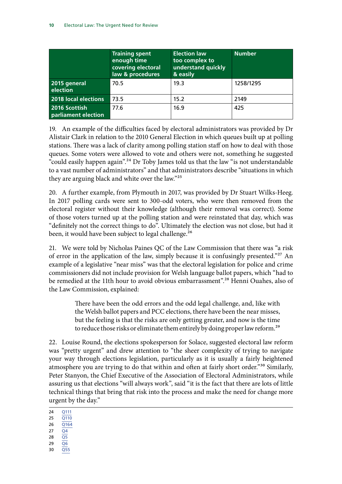|                                      | <b>Training spent</b><br>enough time<br>covering electoral<br>law & procedures | <b>Election law</b><br>too complex to<br>understand quickly<br>& easily | <b>Number</b> |
|--------------------------------------|--------------------------------------------------------------------------------|-------------------------------------------------------------------------|---------------|
| 2015 general<br>election             | 70.5                                                                           | 19.3                                                                    | 1258/1295     |
| 2018 local elections                 | 73.5                                                                           | 15.2                                                                    | 2149          |
| 2016 Scottish<br>parliament election | 77.6                                                                           | 16.9                                                                    | 425           |

19. An example of the difficulties faced by electoral administrators was provided by Dr Alistair Clark in relation to the 2010 General Election in which queues built up at polling stations. There was a lack of clarity among polling station staff on how to deal with those queues. Some voters were allowed to vote and others were not, something he suggested "could easily happen again".<sup>24</sup> Dr Toby James told us that the law "is not understandable to a vast number of administrators" and that administrators describe "situations in which they are arguing black and white over the law."25

20. A further example, from Plymouth in 2017, was provided by Dr Stuart Wilks-Heeg. In 2017 polling cards were sent to 300-odd voters, who were then removed from the electoral register without their knowledge (although their removal was correct). Some of those voters turned up at the polling station and were reinstated that day, which was "definitely not the correct things to do". Ultimately the election was not close, but had it been, it would have been subject to legal challenge.<sup>26</sup>

21. We were told by Nicholas Paines QC of the Law Commission that there was "a risk of error in the application of the law, simply because it is confusingly presented."<sup>27</sup> An example of a legislative "near miss" was that the electoral legislation for police and crime commissioners did not include provision for Welsh language ballot papers, which "had to be remedied at the 11th hour to avoid obvious embarrassment".<sup>28</sup> Henni Ouahes, also of the Law Commission, explained:

> There have been the odd errors and the odd legal challenge, and, like with the Welsh ballot papers and PCC elections, there have been the near misses, but the feeling is that the risks are only getting greater, and now is the time to reduce those risks or eliminate them entirely by doing proper law reform.<sup>29</sup>

22. Louise Round, the elections spokesperson for Solace, suggested electoral law reform was "pretty urgent" and drew attention to "the sheer complexity of trying to navigate your way through elections legislation, particularly as it is usually a fairly heightened atmosphere you are trying to do that within and often at fairly short order."<sup>30</sup> Similarly, Peter Stanyon, the Chief Executive of the Association of Electoral Administrators, while assuring us that elections "will always work", said "it is the fact that there are lots of little technical things that bring that risk into the process and make the need for change more urgent by the day."

- 28 [Q5](http://data.parliament.uk/writtenevidence/committeeevidence.svc/evidencedocument/public-administration-and-constitutional-affairs-committee/electoral-law/oral/103505.pdf)
- 29 [Q6](http://data.parliament.uk/writtenevidence/committeeevidence.svc/evidencedocument/public-administration-and-constitutional-affairs-committee/electoral-law/oral/103505.pdf)
- 30 [Q55](http://data.parliament.uk/writtenevidence/committeeevidence.svc/evidencedocument/public-administration-and-constitutional-affairs-committee/electoral-law/oral/103505.html)

<sup>24</sup> [Q111](http://data.parliament.uk/writtenevidence/committeeevidence.svc/evidencedocument/public-administration-and-constitutional-affairs-committee/electoral-law/oral/103825.pdf)

<sup>25</sup> [Q110](http://data.parliament.uk/writtenevidence/committeeevidence.svc/evidencedocument/public-administration-and-constitutional-affairs-committee/electoral-law/oral/103825.pdf)

<sup>26</sup> [Q164](http://data.parliament.uk/writtenevidence/committeeevidence.svc/evidencedocument/public-administration-and-constitutional-affairs-committee/electoral-law/oral/103825.pdf) 27  $\overline{Q4}$  $\overline{Q4}$  $\overline{Q4}$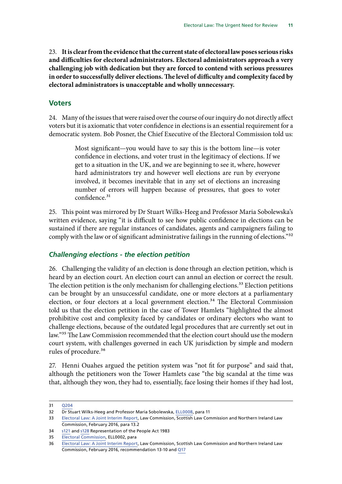<span id="page-12-0"></span>23. **It is clear from the evidence that the current state of electoral law poses serious risks and difficulties for electoral administrators. Electoral administrators approach a very challenging job with dedication but they are forced to contend with serious pressures in order to successfully deliver elections. The level of difficulty and complexity faced by electoral administrators is unacceptable and wholly unnecessary.**

### **Voters**

24. Many of the issues that were raised over the course of our inquiry do not directly affect voters but it is axiomatic that voter confidence in elections is an essential requirement for a democratic system. Bob Posner, the Chief Executive of the Electoral Commission told us:

> Most significant—you would have to say this is the bottom line—is voter confidence in elections, and voter trust in the legitimacy of elections. If we get to a situation in the UK, and we are beginning to see it, where, however hard administrators try and however well elections are run by everyone involved, it becomes inevitable that in any set of elections an increasing number of errors will happen because of pressures, that goes to voter confidence.<sup>31</sup>

25. This point was mirrored by Dr Stuart Wilks-Heeg and Professor Maria Sobolewska's written evidence, saying "it is difficult to see how public confidence in elections can be sustained if there are regular instances of candidates, agents and campaigners failing to comply with the law or of significant administrative failings in the running of elections."<sup>32</sup>

### *Challenging elections - the election petition*

26. Challenging the validity of an election is done through an election petition, which is heard by an election court. An election court can annul an election or correct the result. The election petition is the only mechanism for challenging elections.<sup>33</sup> Election petitions can be brought by an unsuccessful candidate, one or more electors at a parliamentary election, or four electors at a local government election.<sup>34</sup> The Electoral Commission told us that the election petition in the case of Tower Hamlets "highlighted the almost prohibitive cost and complexity faced by candidates or ordinary electors who want to challenge elections, because of the outdated legal procedures that are currently set out in law."35 The Law Commission recommended that the election court should use the modern court system, with challenges governed in each UK jurisdiction by simple and modern rules of procedure.<sup>36</sup>

27. Henni Ouahes argued the petition system was "not fit for purpose" and said that, although the petitioners won the Tower Hamlets case "the big scandal at the time was that, although they won, they had to, essentially, face losing their homes if they had lost,

<sup>31</sup> [Q204](http://data.parliament.uk/writtenevidence/committeeevidence.svc/evidencedocument/public-administration-and-constitutional-affairs-committee/electoral-law/oral/103986.pdf)

<sup>32</sup> Dr Stuart Wilks-Heeg and Professor Maria Sobolewska, [ELL0008,](http://data.parliament.uk/writtenevidence/committeeevidence.svc/evidencedocument/public-administration-and-constitutional-affairs-committee/electoral-law/written/102542.pdf) para 11

<sup>33</sup> [Electoral Law: A Joint Interim Report,](https://s3-eu-west-2.amazonaws.com/lawcom-prod-storage-11jsxou24uy7q/uploads/2016/02/electoral_law_interim_report.pdf) Law Commission, Scottish Law Commission and Northern Ireland Law Commission, February 2016, para 13.2

<sup>34</sup> [s121](http://www.legislation.gov.uk/ukpga/1983/2/section/121) and [s128](http://www.legislation.gov.uk/ukpga/1983/2/section/128) Representation of the People Act 1983

<sup>35</sup> [Electoral Commission,](http://data.parliament.uk/writtenevidence/committeeevidence.svc/evidencedocument/public-administration-and-constitutional-affairs-committee/electoral-law/written/101233.pdf) ELL0002, para

<sup>36</sup> [Electoral Law: A Joint Interim Report,](https://s3-eu-west-2.amazonaws.com/lawcom-prod-storage-11jsxou24uy7q/uploads/2016/02/electoral_law_interim_report.pdf) Law Commission, Scottish Law Commission and Northern Ireland Law Commission, February 2016, recommendation 13-10 and [Q17](http://data.parliament.uk/writtenevidence/committeeevidence.svc/evidencedocument/public-administration-and-constitutional-affairs-committee/electoral-law/oral/103505.pdf)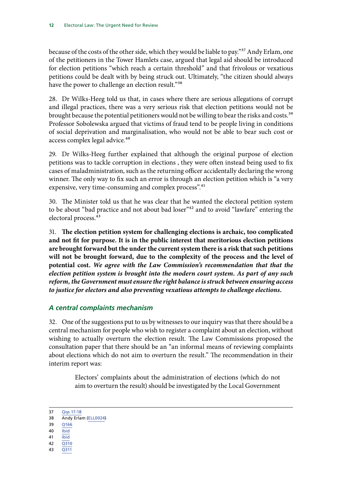<span id="page-13-0"></span>because of the costs of the other side, which they would be liable to pay."<sup>37</sup> Andy Erlam, one of the petitioners in the Tower Hamlets case, argued that legal aid should be introduced for election petitions "which reach a certain threshold" and that frivolous or vexatious petitions could be dealt with by being struck out. Ultimately, "the citizen should always have the power to challenge an election result."38

28. Dr Wilks-Heeg told us that, in cases where there are serious allegations of corrupt and illegal practices, there was a very serious risk that election petitions would not be brought because the potential petitioners would not be willing to bear the risks and costs.<sup>39</sup> Professor Sobolewska argued that victims of fraud tend to be people living in conditions of social deprivation and marginalisation, who would not be able to bear such cost or access complex legal advice.<sup>40</sup>

29. Dr Wilks-Heeg further explained that although the original purpose of election petitions was to tackle corruption in elections , they were often instead being used to fix cases of maladministration, such as the returning officer accidentally declaring the wrong winner. The only way to fix such an error is through an election petition which is "a very expensive, very time-consuming and complex process".<sup>41</sup>

30. The Minister told us that he was clear that he wanted the electoral petition system to be about "bad practice and not about bad loser"<sup>42</sup> and to avoid "lawfare" entering the electoral process.<sup>43</sup>

31. **The election petition system for challenging elections is archaic, too complicated and not fit for purpose. It is in the public interest that meritorious election petitions are brought forward but the under the current system there is a risk that such petitions will not be brought forward, due to the complexity of the process and the level of potential cost.** *We agree with the Law Commission's recommendation that that the election petition system is brought into the modern court system. As part of any such reform, the Government must ensure the right balance is struck between ensuring access to justice for electors and also preventing vexatious attempts to challenge elections.*

## *A central complaints mechanism*

32. One of the suggestions put to us by witnesses to our inquiry was that there should be a central mechanism for people who wish to register a complaint about an election, without wishing to actually overturn the election result. The Law Commissions proposed the consultation paper that there should be an "an informal means of reviewing complaints about elections which do not aim to overturn the result." The recommendation in their interim report was:

> Electors' complaints about the administration of elections (which do not aim to overturn the result) should be investigated by the Local Government

- 39 [Q166](http://data.parliament.uk/writtenevidence/committeeevidence.svc/evidencedocument/public-administration-and-constitutional-affairs-committee/electoral-law/oral/103825.pdf)
- $40$  [Ibid](http://data.parliament.uk/writtenevidence/committeeevidence.svc/evidencedocument/public-administration-and-constitutional-affairs-committee/electoral-law/oral/103825.pdf) 41 [Ibid](http://data.parliament.uk/writtenevidence/committeeevidence.svc/evidencedocument/public-administration-and-constitutional-affairs-committee/electoral-law/oral/103825.pdf)
- 42 [Q310](http://data.parliament.uk/writtenevidence/committeeevidence.svc/evidencedocument/public-administration-and-constitutional-affairs-committee/electoral-law/oral/106515.html)
- 
- 43 [Q311](http://data.parliament.uk/writtenevidence/committeeevidence.svc/evidencedocument/public-administration-and-constitutional-affairs-committee/electoral-law/oral/106515.html)

<sup>37</sup> [Qqs 17-18](http://data.parliament.uk/writtenevidence/committeeevidence.svc/evidencedocument/public-administration-and-constitutional-affairs-committee/electoral-law/oral/103505.pdf)

<sup>38</sup> Andy Erlam [\(ELL0024\)](http://data.parliament.uk/writtenevidence/committeeevidence.svc/evidencedocument/public-administration-and-constitutional-affairs-committee/electoral-law/written/106364.html)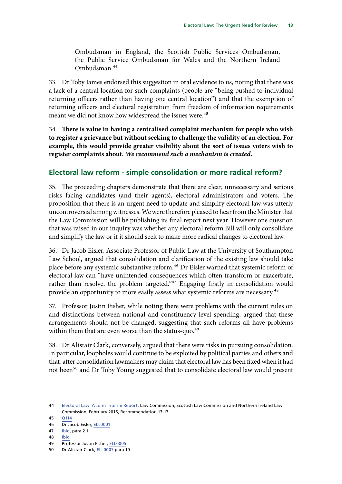<span id="page-14-0"></span>Ombudsman in England, the Scottish Public Services Ombudsman, the Public Service Ombudsman for Wales and the Northern Ireland Ombudsman.44

33. Dr Toby James endorsed this suggestion in oral evidence to us, noting that there was a lack of a central location for such complaints (people are "being pushed to individual returning officers rather than having one central location") and that the exemption of returning officers and electoral registration from freedom of information requirements meant we did not know how widespread the issues were.<sup>45</sup>

34. **There is value in having a centralised complaint mechanism for people who wish to register a grievance but without seeking to challenge the validity of an election. For example, this would provide greater visibility about the sort of issues voters wish to register complaints about.** *We recommend such a mechanism is created.*

### **Electoral law reform - simple consolidation or more radical reform?**

35. The proceeding chapters demonstrate that there are clear, unnecessary and serious risks facing candidates (and their agents), electoral administrators and voters. The proposition that there is an urgent need to update and simplify electoral law was utterly uncontroversial among witnesses. We were therefore pleased to hear from the Minister that the Law Commission will be publishing its final report next year. However one question that was raised in our inquiry was whether any electoral reform Bill will only consolidate and simplify the law or if it should seek to make more radical changes to electoral law.

36. Dr Jacob Eisler, Associate Professor of Public Law at the University of Southampton Law School, argued that consolidation and clarification of the existing law should take place before any systemic substantive reform.46 Dr Eisler warned that systemic reform of electoral law can "have unintended consequences which often transform or exacerbate, rather than resolve, the problem targeted."<sup>47</sup> Engaging firstly in consolidation would provide an opportunity to more easily assess what systemic reforms are necessary.<sup>48</sup>

37. Professor Justin Fisher, while noting there were problems with the current rules on and distinctions between national and constituency level spending, argued that these arrangements should not be changed, suggesting that such reforms all have problems within them that are even worse than the status-quo.<sup>49</sup>

38. Dr Alistair Clark, conversely, argued that there were risks in pursuing consolidation. In particular, loopholes would continue to be exploited by political parties and others and that, after consolidation lawmakers may claim that electoral law has been fixed when it had not been<sup>50</sup> and Dr Toby Young suggested that to consolidate electoral law would present

<sup>44</sup> [Electoral Law: A Joint Interim Report,](https://s3-eu-west-2.amazonaws.com/lawcom-prod-storage-11jsxou24uy7q/uploads/2016/02/electoral_law_interim_report.pdf) Law Commission, Scottish Law Commission and Northern Ireland Law Commission, February 2016, Recommendation 13-13

<sup>45</sup> [Q114](http://data.parliament.uk/writtenevidence/committeeevidence.svc/evidencedocument/public-administration-and-constitutional-affairs-committee/electoral-law/oral/103825.html)

<sup>46</sup> Dr Jacob Eisler, [ELL0001](http://data.parliament.uk/writtenevidence/committeeevidence.svc/evidencedocument/public-administration-and-constitutional-affairs-committee/electoral-law/written/99950.pdf)

<sup>47</sup> [Ibid,](http://data.parliament.uk/writtenevidence/committeeevidence.svc/evidencedocument/public-administration-and-constitutional-affairs-committee/electoral-law/written/99950.pdf) para 2.1

<sup>48</sup> [Ibid](http://data.parliament.uk/writtenevidence/committeeevidence.svc/evidencedocument/public-administration-and-constitutional-affairs-committee/electoral-law/written/99950.pdf)

<sup>49</sup> Professor Justin Fisher, [ELL0005](http://data.parliament.uk/writtenevidence/committeeevidence.svc/evidencedocument/public-administration-and-constitutional-affairs-committee/electoral-law/written/102168.pdf)

<sup>50</sup> Dr Alistair Clark, [ELL0007](http://data.parliament.uk/writtenevidence/committeeevidence.svc/evidencedocument/public-administration-and-constitutional-affairs-committee/electoral-law/written/102326.pdf) para 10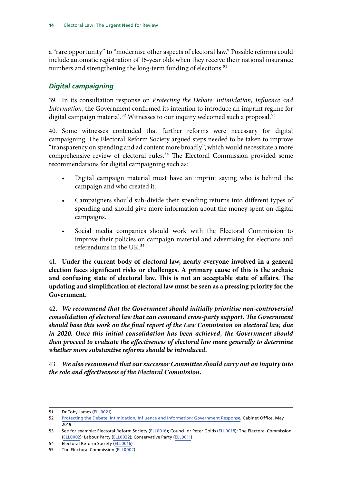<span id="page-15-0"></span>a "rare opportunity" to "modernise other aspects of electoral law." Possible reforms could include automatic registration of 16-year olds when they receive their national insurance numbers and strengthening the long-term funding of elections.<sup>51</sup>

## *Digital campaigning*

39. In its consultation response on *Protecting the Debate: Intimidation, Influence and Information*, the Government confirmed its intention to introduce an imprint regime for digital campaign material.<sup>52</sup> Witnesses to our inquiry welcomed such a proposal.<sup>53</sup>

40. Some witnesses contended that further reforms were necessary for digital campaigning. The Electoral Reform Society argued steps needed to be taken to improve "transparency on spending and ad content more broadly", which would necessitate a more comprehensive review of electoral rules.<sup>54</sup> The Electoral Commission provided some recommendations for digital campaigning such as:

- Digital campaign material must have an imprint saying who is behind the campaign and who created it.
- Campaigners should sub-divide their spending returns into different types of spending and should give more information about the money spent on digital campaigns.
- Social media companies should work with the Electoral Commission to improve their policies on campaign material and advertising for elections and referendums in the UK.55

41. **Under the current body of electoral law, nearly everyone involved in a general election faces significant risks or challenges. A primary cause of this is the archaic and confusing state of electoral law. This is not an acceptable state of affairs. The updating and simplification of electoral law must be seen as a pressing priority for the Government.**

42. *We recommend that the Government should initially prioritise non-controversial consolidation of electoral law that can command cross-party support. The Government should base this work on the final report of the Law Commission on electoral law, due in 2020. Once this initial consolidation has been achieved, the Government should then proceed to evaluate the effectiveness of electoral law more generally to determine whether more substantive reforms should be introduced.*

43. *We also recommend that our successor Committee should carry out an inquiry into the role and effectiveness of the Electoral Commission.*

54 Electoral Reform Society ([ELL0016](http://data.parliament.uk/writtenevidence/committeeevidence.svc/evidencedocument/public-administration-and-constitutional-affairs-committee/electoral-law/written/102703.html))

<sup>51</sup> Dr Toby James [\(ELL0021\)](http://data.parliament.uk/writtenevidence/committeeevidence.svc/evidencedocument/public-administration-and-constitutional-affairs-committee/electoral-law/written/102751.html)

<sup>52</sup> [Protecting the Debate: Intimidation, Influence and Information: Government Response,](https://assets.publishing.service.gov.uk/government/uploads/system/uploads/attachment_data/file/799873/Protecting-the-Debate-Government-Response-2019.05.01.pdf) Cabinet Office, May 2019

<sup>53</sup> See for example: Electoral Reform Society [\(ELL0016](http://data.parliament.uk/writtenevidence/committeeevidence.svc/evidencedocument/public-administration-and-constitutional-affairs-committee/electoral-law/written/102703.html)); Councillor Peter Golds ([ELL0018](http://data.parliament.uk/writtenevidence/committeeevidence.svc/evidencedocument/public-administration-and-constitutional-affairs-committee/electoral-law/written/102714.html)); The Electoral Commission [\(ELL0002\)](http://data.parliament.uk/writtenevidence/committeeevidence.svc/evidencedocument/public-administration-and-constitutional-affairs-committee/electoral-law/written/101233.html); Labour Party ([ELL0022](http://data.parliament.uk/writtenevidence/committeeevidence.svc/evidencedocument/public-administration-and-constitutional-affairs-committee/electoral-law/written/102832.html)); Conservative Party [\(ELL0011](http://data.parliament.uk/writtenevidence/committeeevidence.svc/evidencedocument/public-administration-and-constitutional-affairs-committee/electoral-law/written/102694.html))

<sup>55</sup> The Electoral Commission ([ELL0002](http://data.parliament.uk/writtenevidence/committeeevidence.svc/evidencedocument/public-administration-and-constitutional-affairs-committee/electoral-law/written/101233.html))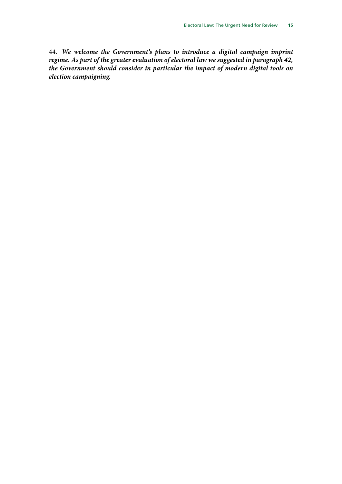44. *We welcome the Government's plans to introduce a digital campaign imprint regime. As part of the greater evaluation of electoral law we suggested in paragraph 42, the Government should consider in particular the impact of modern digital tools on election campaigning.*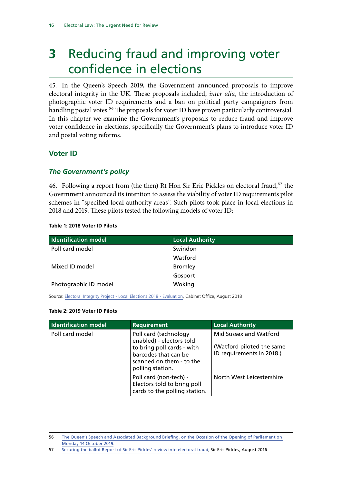## <span id="page-17-0"></span>**3** Reducing fraud and improving voter confidence in elections

45. In the Queen's Speech 2019, the Government announced proposals to improve electoral integrity in the UK. These proposals included, *inter alia*, the introduction of photographic voter ID requirements and a ban on political party campaigners from handling postal votes.<sup>56</sup> The proposals for voter ID have proven particularly controversial. In this chapter we examine the Government's proposals to reduce fraud and improve voter confidence in elections, specifically the Government's plans to introduce voter ID and postal voting reforms.

## **Voter ID**

### *The Government's policy*

46. Following a report from (the then) Rt Hon Sir Eric Pickles on electoral fraud,<sup>57</sup> the Government announced its intention to assess the viability of voter ID requirements pilot schemes in "specified local authority areas". Such pilots took place in local elections in 2018 and 2019. These pilots tested the following models of voter ID:

#### **Table 1: 2018 Voter ID Pilots**

| <b>Identification model</b> | <b>Local Authority</b> |
|-----------------------------|------------------------|
| Poll card model             | Swindon                |
|                             | Watford                |
| Mixed ID model              | <b>Bromley</b>         |
|                             | Gosport                |
| Photographic ID model       | Woking                 |

Source: [Electoral Integrity Project - Local Elections 2018 - Evaluation](https://assets.publishing.service.gov.uk/government/uploads/system/uploads/attachment_data/file/733128/Electoral_Integrity_Project_-_Local_Elections_2018_-_Evaluation.pdf), Cabinet Office, August 2018

#### **Table 2: 2019 Voter ID Pilots**

| <b>Identification model</b> | <b>Requirement</b>                                                                                                                                      | <b>Local Authority</b>                                                           |
|-----------------------------|---------------------------------------------------------------------------------------------------------------------------------------------------------|----------------------------------------------------------------------------------|
| Poll card model             | Poll card (technology<br>enabled) - electors told<br>to bring poll cards - with<br>barcodes that can be<br>scanned on them - to the<br>polling station. | Mid Sussex and Watford<br>(Watford piloted the same<br>ID requirements in 2018.) |
|                             | Poll card (non-tech) -<br>Electors told to bring poll<br>cards to the polling station.                                                                  | North West Leicestershire                                                        |

<sup>56</sup> [The Queen's Speech and Associated Background Briefing, on the Occasion of the Opening of Parliament on](https://assets.publishing.service.gov.uk/government/uploads/system/uploads/attachment_data/file/839370/Queen_s_Speech_Lobby_Pack_2019_.pdf)  [Monday 14 October 2019](https://assets.publishing.service.gov.uk/government/uploads/system/uploads/attachment_data/file/839370/Queen_s_Speech_Lobby_Pack_2019_.pdf).

<sup>57</sup> [Securing the ballot Report of Sir Eric Pickles' review into electoral fraud,](https://assets.publishing.service.gov.uk/government/uploads/system/uploads/attachment_data/file/545416/eric_pickles_report_electoral_fraud.pdf) Sir Eric Pickles, August 2016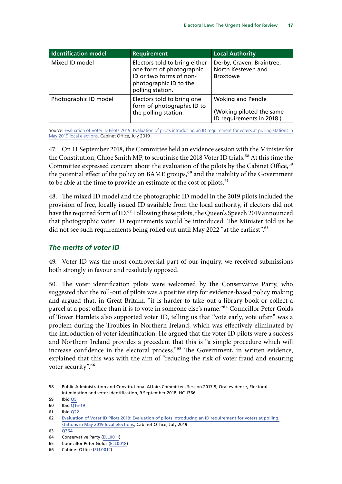<span id="page-18-0"></span>

| <b>Identification model</b> | Requirement                                                                                                                        | <b>Local Authority</b>                                                            |
|-----------------------------|------------------------------------------------------------------------------------------------------------------------------------|-----------------------------------------------------------------------------------|
| Mixed ID model              | Electors told to bring either<br>one form of photographic<br>ID or two forms of non-<br>photographic ID to the<br>polling station. | Derby, Craven, Braintree,<br>North Kesteven and<br><b>Broxtowe</b>                |
| Photographic ID model       | Electors told to bring one<br>form of photographic ID to<br>the polling station.                                                   | <b>Woking and Pendle</b><br>(Woking piloted the same<br>ID requirements in 2018.) |

Source: [Evaluation of Voter ID Pilots 2019: Evaluation of pilots introducing an ID requirement for voters at polling stations in](https://assets.publishing.service.gov.uk/government/uploads/system/uploads/attachment_data/file/819404/2019_Voter_ID_Pilots_Evaluation.pdf) [May 2019 local elections](https://assets.publishing.service.gov.uk/government/uploads/system/uploads/attachment_data/file/819404/2019_Voter_ID_Pilots_Evaluation.pdf), Cabinet Office, July 2019

47. On 11 September 2018, the Committee held an evidence session with the Minister for the Constitution, Chloe Smith MP, to scrutinise the 2018 Voter ID trials.<sup>58</sup> At this time the Committee expressed concern about the evaluation of the pilots by the Cabinet Office,<sup>59</sup> the potential effect of the policy on BAME groups,<sup>60</sup> and the inability of the Government to be able at the time to provide an estimate of the cost of pilots.<sup>61</sup>

48. The mixed ID model and the photographic ID model in the 2019 pilots included the provision of free, locally issued ID available from the local authority, if electors did not have the required form of ID.<sup>62</sup> Following these pilots, the Queen's Speech 2019 announced that photographic voter ID requirements would be introduced. The Minister told us he did not see such requirements being rolled out until May 2022 "at the earliest".<sup>63</sup>

### *The merits of voter ID*

49. Voter ID was the most controversial part of our inquiry, we received submissions both strongly in favour and resolutely opposed.

50. The voter identification pilots were welcomed by the Conservative Party, who suggested that the roll-out of pilots was a positive step for evidence-based policy making and argued that, in Great Britain, "it is harder to take out a library book or collect a parcel at a post office than it is to vote in someone else's name."64 Councillor Peter Golds of Tower Hamlets also supported voter ID, telling us that "vote early, vote often" was a problem during the Troubles in Northern Ireland, which was effectively eliminated by the introduction of voter identification. He argued that the voter ID pilots were a success and Northern Ireland provides a precedent that this is "a simple procedure which will increase confidence in the electoral process."65 The Government, in written evidence, explained that this was with the aim of "reducing the risk of voter fraud and ensuring voter security".<sup>66</sup>

<sup>58</sup> Public Administration and Constitutional Affairs Committee, Session 2017-9, Oral evidence, Electoral intimidation and voter identification, 9 September 2018, HC 1366

<sup>59</sup> Ibid [Q5](http://data.parliament.uk/writtenevidence/committeeevidence.svc/evidencedocument/public-administration-and-constitutional-affairs-committee/electoral-intimidation-and-voter-identification/oral/89657.html)

<sup>60</sup> Ibid [Q16-19](http://data.parliament.uk/writtenevidence/committeeevidence.svc/evidencedocument/public-administration-and-constitutional-affairs-committee/electoral-intimidation-and-voter-identification/oral/89657.html)

<sup>61</sup> Ibid  $\overline{Q22}$ 

<sup>62</sup> [Evaluation of Voter ID Pilots 2019: Evaluation of pilots introducing an ID requirement for voters at polling](https://assets.publishing.service.gov.uk/government/uploads/system/uploads/attachment_data/file/819404/2019_Voter_ID_Pilots_Evaluation.pdf)  [stations in May 2019 local elections](https://assets.publishing.service.gov.uk/government/uploads/system/uploads/attachment_data/file/819404/2019_Voter_ID_Pilots_Evaluation.pdf), Cabinet Office, July 2019

<sup>63</sup> [Q364](http://data.parliament.uk/writtenevidence/committeeevidence.svc/evidencedocument/public-administration-and-constitutional-affairs-committee/electoral-law/oral/106515.html)

<sup>64</sup> Conservative Party [\(ELL0011](http://data.parliament.uk/writtenevidence/committeeevidence.svc/evidencedocument/public-administration-and-constitutional-affairs-committee/electoral-law/written/102694.html))

<sup>65</sup> Councillor Peter Golds ([ELL0018](http://data.parliament.uk/writtenevidence/committeeevidence.svc/evidencedocument/public-administration-and-constitutional-affairs-committee/electoral-law/written/102714.html))

<sup>66</sup> Cabinet Office [\(ELL0012\)](http://data.parliament.uk/writtenevidence/committeeevidence.svc/evidencedocument/public-administration-and-constitutional-affairs-committee/electoral-law/written/102695.html)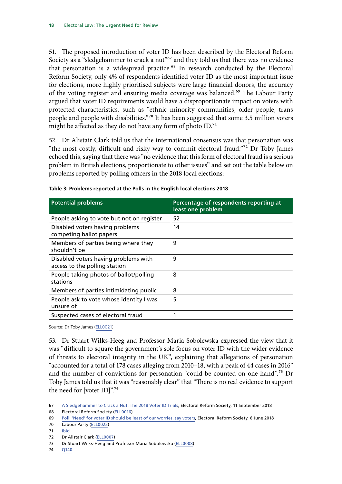51. The proposed introduction of voter ID has been described by the Electoral Reform Society as a "sledgehammer to crack a nut"<sup>67</sup> and they told us that there was no evidence that personation is a widespread practice.<sup>68</sup> In research conducted by the Electoral Reform Society, only 4% of respondents identified voter ID as the most important issue for elections, more highly prioritised subjects were large financial donors, the accuracy of the voting register and ensuring media coverage was balanced.<sup>69</sup> The Labour Party argued that voter ID requirements would have a disproportionate impact on voters with protected characteristics, such as "ethnic minority communities, older people, trans people and people with disabilities."70 It has been suggested that some 3.5 million voters might be affected as they do not have any form of photo  $ID.^{71}$ 

52. Dr Alistair Clark told us that the international consensus was that personation was "the most costly, difficult and risky way to commit electoral fraud."72 Dr Toby James echoed this, saying that there was "no evidence that this form of electoral fraud is a serious problem in British elections, proportionate to other issues" and set out the table below on problems reported by polling officers in the 2018 local elections:

| <b>Potential problems</b>                                             | Percentage of respondents reporting at<br>least one problem |
|-----------------------------------------------------------------------|-------------------------------------------------------------|
| People asking to vote but not on register                             | 52                                                          |
| Disabled voters having problems<br>competing ballot papers            | 14                                                          |
| Members of parties being where they<br>shouldn't be                   | 9                                                           |
| Disabled voters having problems with<br>access to the polling station | 9                                                           |
| People taking photos of ballot/polling<br>stations                    | 8                                                           |
| Members of parties intimidating public                                | 8                                                           |
| People ask to vote whose identity I was<br>unsure of                  | 5                                                           |
| Suspected cases of electoral fraud                                    | 1                                                           |

| Table 3: Problems reported at the Polls in the English local elections 2018 |  |  |  |
|-----------------------------------------------------------------------------|--|--|--|
|-----------------------------------------------------------------------------|--|--|--|

Source: Dr Toby James ([ELL0021](http://data.parliament.uk/writtenevidence/committeeevidence.svc/evidencedocument/public-administration-and-constitutional-affairs-committee/electoral-law/written/102751.html))

53. Dr Stuart Wilks-Heeg and Professor Maria Sobolewska expressed the view that it was "difficult to square the government's sole focus on voter ID with the wider evidence of threats to electoral integrity in the UK", explaining that allegations of personation "accounted for a total of 178 cases alleging from 2010–18, with a peak of 44 cases in 2016" and the number of convictions for personation "could be counted on one hand".73 Dr Toby James told us that it was "reasonably clear" that "There is no real evidence to support the need for [voter ID]".74

72 Dr Alistair Clark ([ELL0007](http://data.parliament.uk/writtenevidence/committeeevidence.svc/evidencedocument/public-administration-and-constitutional-affairs-committee/electoral-law/written/102326.html))

74 [Q140](http://data.parliament.uk/writtenevidence/committeeevidence.svc/evidencedocument/public-administration-and-constitutional-affairs-committee/electoral-law/oral/103825.html)

<sup>67</sup> [A Sledgehammer to Crack a Nut: The 2018 Voter ID Trials](https://www.electoral-reform.org.uk/latest-news-and-research/publications/a-sledgehammer-to-crack-a-nut-the-2018-voter-id-trials/), Electoral Reform Society, 11 September 2018

<sup>68</sup> Electoral Reform Society ([ELL0016](http://data.parliament.uk/writtenevidence/committeeevidence.svc/evidencedocument/public-administration-and-constitutional-affairs-committee/electoral-law/written/102703.html))

<sup>69</sup> [Poll: 'Need' for voter ID should be least of our worries, say voters,](https://www.electoral-reform.org.uk/latest-news-and-research/media-centre/press-releases/poll-need-for-voter-id-should-be-least-of-our-worries-say-voters/) Electoral Reform Society, 6 June 2018

<sup>70</sup> Labour Party [\(ELL0022\)](http://data.parliament.uk/writtenevidence/committeeevidence.svc/evidencedocument/public-administration-and-constitutional-affairs-committee/electoral-law/written/102832.html)

<sup>71</sup> [Ibid](http://data.parliament.uk/writtenevidence/committeeevidence.svc/evidencedocument/public-administration-and-constitutional-affairs-committee/electoral-law/written/102832.pdf)

<sup>73</sup> Dr Stuart Wilks-Heeg and Professor Maria Sobolewska [\(ELL0008\)](http://data.parliament.uk/writtenevidence/committeeevidence.svc/evidencedocument/public-administration-and-constitutional-affairs-committee/electoral-law/written/102542.html)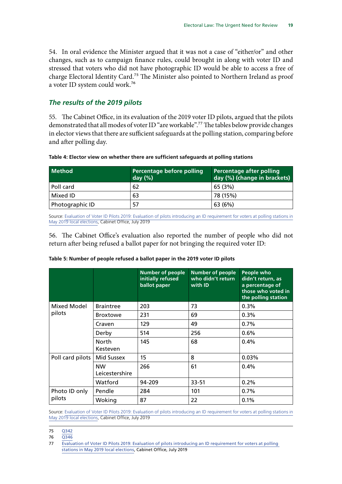<span id="page-20-0"></span>54. In oral evidence the Minister argued that it was not a case of "either/or" and other changes, such as to campaign finance rules, could brought in along with voter ID and stressed that voters who did not have photographic ID would be able to access a free of charge Electoral Identity Card.<sup>75</sup> The Minister also pointed to Northern Ireland as proof a voter ID system could work.76

### *The results of the 2019 pilots*

55. The Cabinet Office, in its evaluation of the 2019 voter ID pilots, argued that the pilots demonstrated that all modes of voter ID "are workable".77 The tables below provide changes in elector views that there are sufficient safeguards at the polling station, comparing before and after polling day.

| Table 4: Elector view on whether there are sufficient safeguards at polling stations |  |  |
|--------------------------------------------------------------------------------------|--|--|
|                                                                                      |  |  |

| Method          | Percentage before polling<br>day $(\%)$ | Percentage after polling<br>day (%) (change in brackets) |
|-----------------|-----------------------------------------|----------------------------------------------------------|
| Poll card       | 62                                      | 65 (3%)                                                  |
| Mixed ID        | 63                                      | 78 (15%)                                                 |
| Photographic ID | 57                                      | 63 (6%)                                                  |

Source: [Evaluation of Voter ID Pilots 2019: Evaluation of pilots introducing an ID requirement for voters at polling stations in](https://assets.publishing.service.gov.uk/government/uploads/system/uploads/attachment_data/file/819404/2019_Voter_ID_Pilots_Evaluation.pdf) [May 2019 local elections](https://assets.publishing.service.gov.uk/government/uploads/system/uploads/attachment_data/file/819404/2019_Voter_ID_Pilots_Evaluation.pdf), Cabinet Office, July 2019

56. The Cabinet Office's evaluation also reported the number of people who did not return after being refused a ballot paper for not bringing the required voter ID:

|                  |                             | <b>Number of people</b><br>initially refused<br>ballot paper | <b>Number of people</b><br>who didn't return<br>with ID | People who<br>didn't return, as<br>a percentage of<br>those who voted in<br>the polling station |
|------------------|-----------------------------|--------------------------------------------------------------|---------------------------------------------------------|-------------------------------------------------------------------------------------------------|
| Mixed Model      | <b>Braintree</b>            | 203                                                          | 73                                                      | 0.3%                                                                                            |
| pilots           | <b>Broxtowe</b>             | 231                                                          | 69                                                      | $0.3\%$                                                                                         |
|                  | Craven                      | 129                                                          | 49                                                      | 0.7%                                                                                            |
|                  | Derby                       | 514                                                          | 256                                                     | 0.6%                                                                                            |
|                  | <b>North</b><br>Kesteven    | 145                                                          | 68                                                      | 0.4%                                                                                            |
| Poll card pilots | <b>Mid Sussex</b>           | 15                                                           | 8                                                       | 0.03%                                                                                           |
|                  | <b>NW</b><br>Leicestershire | 266                                                          | 61                                                      | 0.4%                                                                                            |
|                  | Watford                     | 94-209                                                       | 33-51                                                   | 0.2%                                                                                            |
| Photo ID only    | Pendle                      | 284                                                          | 101                                                     | $0.7\%$                                                                                         |
| pilots           | Woking                      | 87                                                           | 22                                                      | 0.1%                                                                                            |

#### **Table 5: Number of people refused a ballot paper in the 2019 voter ID pilots**

Source: [Evaluation of Voter ID Pilots 2019: Evaluation of pilots introducing an ID requirement for voters at polling stations in](https://assets.publishing.service.gov.uk/government/uploads/system/uploads/attachment_data/file/819404/2019_Voter_ID_Pilots_Evaluation.pdf) [May 2019 local elections](https://assets.publishing.service.gov.uk/government/uploads/system/uploads/attachment_data/file/819404/2019_Voter_ID_Pilots_Evaluation.pdf), Cabinet Office, July 2019

76 [Q346](http://data.parliament.uk/writtenevidence/committeeevidence.svc/evidencedocument/public-administration-and-constitutional-affairs-committee/electoral-law/oral/106515.html)

<sup>75</sup> [Q342](http://data.parliament.uk/writtenevidence/committeeevidence.svc/evidencedocument/public-administration-and-constitutional-affairs-committee/electoral-law/oral/106515.html)

<sup>77</sup> [Evaluation of Voter ID Pilots 2019: Evaluation of pilots introducing an ID requirement for voters at polling](https://assets.publishing.service.gov.uk/government/uploads/system/uploads/attachment_data/file/819404/2019_Voter_ID_Pilots_Evaluation.pdf)  [stations in May 2019 local elections](https://assets.publishing.service.gov.uk/government/uploads/system/uploads/attachment_data/file/819404/2019_Voter_ID_Pilots_Evaluation.pdf), Cabinet Office, July 2019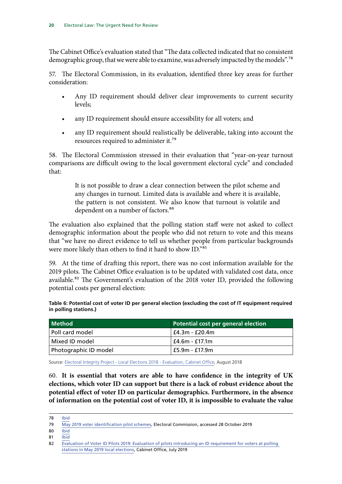The Cabinet Office's evaluation stated that "The data collected indicated that no consistent demographic group, that we were able to examine, was adversely impacted by the models".<sup>78</sup>

57. The Electoral Commission, in its evaluation, identified three key areas for further consideration:

- Any ID requirement should deliver clear improvements to current security levels;
- any ID requirement should ensure accessibility for all voters; and
- any ID requirement should realistically be deliverable, taking into account the resources required to administer it.79

58. The Electoral Commission stressed in their evaluation that "year-on-year turnout comparisons are difficult owing to the local government electoral cycle" and concluded that:

> It is not possible to draw a clear connection between the pilot scheme and any changes in turnout. Limited data is available and where it is available, the pattern is not consistent. We also know that turnout is volatile and dependent on a number of factors.<sup>80</sup>

The evaluation also explained that the polling station staff were not asked to collect demographic information about the people who did not return to vote and this means that "we have no direct evidence to tell us whether people from particular backgrounds were more likely than others to find it hard to show ID."81

59. At the time of drafting this report, there was no cost information available for the 2019 pilots. The Cabinet Office evaluation is to be updated with validated cost data, once available.<sup>82</sup> The Government's evaluation of the 2018 voter ID, provided the following potential costs per general election:

**Table 6: Potential cost of voter ID per general election (excluding the cost of IT equipment required in polling stations.)**

| Method                | Potential cost per general election |  |  |
|-----------------------|-------------------------------------|--|--|
| Poll card model       | £4.3m - £20.4m                      |  |  |
| Mixed ID model        | £4.6m - £17.1m                      |  |  |
| Photographic ID model | £5.9m - £17.9m                      |  |  |

Source: [Electoral Integrity Project - Local Elections 2018 - Evaluation, Cabinet Office,](https://assets.publishing.service.gov.uk/government/uploads/system/uploads/attachment_data/file/733128/Electoral_Integrity_Project_-_Local_Elections_2018_-_Evaluation.pdf) August 2018

60. **It is essential that voters are able to have confidence in the integrity of UK elections, which voter ID can support but there is a lack of robust evidence about the potential effect of voter ID on particular demographics. Furthermore, in the absence of information on the potential cost of voter ID, it is impossible to evaluate the value** 

- $80$  [Ibid](https://www.electoralcommission.org.uk/who-we-are-and-what-we-do/our-views-and-research/our-research/voter-identification-pilots/may-2019-voter-identification-pilot-schemes)
- 81 [Ibid](https://www.electoralcommission.org.uk/who-we-are-and-what-we-do/our-views-and-research/our-research/voter-identification-pilots/may-2019-voter-identification-pilot-schemes)

<sup>78</sup> [Ibid](https://assets.publishing.service.gov.uk/government/uploads/system/uploads/attachment_data/file/819404/2019_Voter_ID_Pilots_Evaluation.pdf)

<sup>79</sup> [May 2019 voter identification pilot schemes](https://www.electoralcommission.org.uk/who-we-are-and-what-we-do/our-views-and-research/our-research/voter-identification-pilots/may-2019-voter-identification-pilot-schemes), Electoral Commission, accessed 28 October 2019

<sup>82</sup> [Evaluation of Voter ID Pilots 2019: Evaluation of pilots introducing an ID requirement for voters at polling](https://assets.publishing.service.gov.uk/government/uploads/system/uploads/attachment_data/file/819404/2019_Voter_ID_Pilots_Evaluation.pdf)  [stations in May 2019 local elections](https://assets.publishing.service.gov.uk/government/uploads/system/uploads/attachment_data/file/819404/2019_Voter_ID_Pilots_Evaluation.pdf), Cabinet Office, July 2019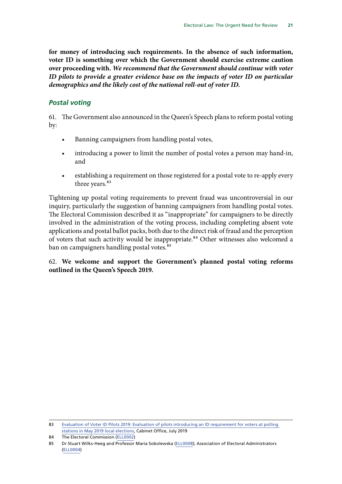<span id="page-22-0"></span>**for money of introducing such requirements. In the absence of such information, voter ID is something over which the Government should exercise extreme caution over proceeding with.** *We recommend that the Government should continue with voter ID pilots to provide a greater evidence base on the impacts of voter ID on particular demographics and the likely cost of the national roll-out of voter ID.*

### *Postal voting*

61. The Government also announced in the Queen's Speech plans to reform postal voting by:

- Banning campaigners from handling postal votes,
- introducing a power to limit the number of postal votes a person may hand-in, and
- establishing a requirement on those registered for a postal vote to re-apply every three years.<sup>83</sup>

Tightening up postal voting requirements to prevent fraud was uncontroversial in our inquiry, particularly the suggestion of banning campaigners from handling postal votes. The Electoral Commission described it as "inappropriate" for campaigners to be directly involved in the administration of the voting process, including completing absent vote applications and postal ballot packs, both due to the direct risk of fraud and the perception of voters that such activity would be inappropriate.<sup>84</sup> Other witnesses also welcomed a ban on campaigners handling postal votes.<sup>85</sup>

### 62. **We welcome and support the Government's planned postal voting reforms outlined in the Queen's Speech 2019.**

<sup>83</sup> [Evaluation of Voter ID Pilots 2019: Evaluation of pilots introducing an ID requirement for voters at polling](https://assets.publishing.service.gov.uk/government/uploads/system/uploads/attachment_data/file/819404/2019_Voter_ID_Pilots_Evaluation.pdf)  [stations in May 2019 local elections](https://assets.publishing.service.gov.uk/government/uploads/system/uploads/attachment_data/file/819404/2019_Voter_ID_Pilots_Evaluation.pdf), Cabinet Office, July 2019

<sup>84</sup> The Electoral Commission ([ELL0002](http://data.parliament.uk/writtenevidence/committeeevidence.svc/evidencedocument/public-administration-and-constitutional-affairs-committee/electoral-law/written/101233.html))

<sup>85</sup> Dr Stuart Wilks-Heeg and Professor Maria Sobolewska [\(ELL0008\)](http://data.parliament.uk/writtenevidence/committeeevidence.svc/evidencedocument/public-administration-and-constitutional-affairs-committee/electoral-law/written/102542.html); Association of Electoral Administrators [\(ELL0004\)](http://data.parliament.uk/writtenevidence/committeeevidence.svc/evidencedocument/public-administration-and-constitutional-affairs-committee/electoral-law/written/102107.html)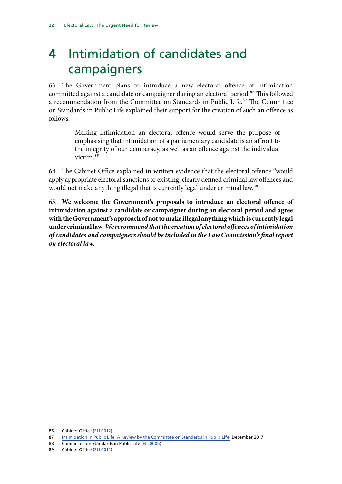## <span id="page-23-0"></span>**4** Intimidation of candidates and campaigners

63. The Government plans to introduce a new electoral offence of intimidation committed against a candidate or campaigner during an electoral period.<sup>86</sup> This followed a recommendation from the Committee on Standards in Public Life.<sup>87</sup> The Committee on Standards in Public Life explained their support for the creation of such an offence as follows:

> Making intimidation an electoral offence would serve the purpose of emphasising that intimidation of a parliamentary candidate is an affront to the integrity of our democracy, as well as an offence against the individual victim.88

64. The Cabinet Office explained in written evidence that the electoral offence "would apply appropriate electoral sanctions to existing, clearly defined criminal law offences and would not make anything illegal that is currently legal under criminal law.<sup>89</sup>

65. **We welcome the Government's proposals to introduce an electoral offence of intimidation against a candidate or campaigner during an electoral period and agree with the Government's approach of not to make illegal anything which is currently legal under criminal law***. We recommend that the creation of electoral offences of intimidation of candidates and campaigners should be included in the Law Commission's final report on electoral law.*

<sup>86</sup> Cabinet Office [\(ELL0012\)](http://data.parliament.uk/writtenevidence/committeeevidence.svc/evidencedocument/public-administration-and-constitutional-affairs-committee/electoral-law/written/102695.html)

<sup>87</sup> [Intimidation in Public Life: A Review by the Committee on Standards in Public Life](https://assets.publishing.service.gov.uk/government/uploads/system/uploads/attachment_data/file/666927/6.3637_CO_v6_061217_Web3.1__2_.pdf), December 2017

<sup>88</sup> Committee on Standards in Public Life ([ELL0006](http://data.parliament.uk/writtenevidence/committeeevidence.svc/evidencedocument/public-administration-and-constitutional-affairs-committee/electoral-law/written/102310.html))

<sup>89</sup> Cabinet Office [\(ELL0012\)](http://data.parliament.uk/writtenevidence/committeeevidence.svc/evidencedocument/public-administration-and-constitutional-affairs-committee/electoral-law/written/102695.html)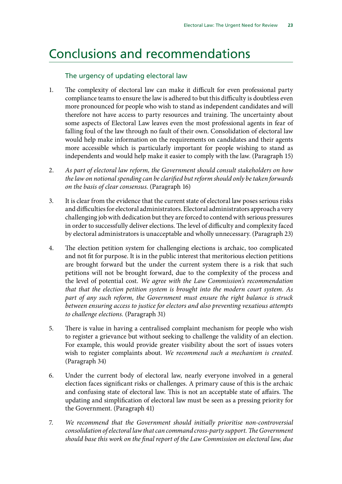## <span id="page-24-0"></span>Conclusions and recommendations

### The urgency of updating electoral law

- 1. The complexity of electoral law can make it difficult for even professional party compliance teams to ensure the law is adhered to but this difficulty is doubtless even more pronounced for people who wish to stand as independent candidates and will therefore not have access to party resources and training. The uncertainty about some aspects of Electoral Law leaves even the most professional agents in fear of falling foul of the law through no fault of their own. Consolidation of electoral law would help make information on the requirements on candidates and their agents more accessible which is particularly important for people wishing to stand as independents and would help make it easier to comply with the law. (Paragraph 15)
- 2. *As part of electoral law reform, the Government should consult stakeholders on how the law on notional spending can be clarified but reform should only be taken forwards on the basis of clear consensus.* (Paragraph 16)
- 3. It is clear from the evidence that the current state of electoral law poses serious risks and difficulties for electoral administrators. Electoral administrators approach a very challenging job with dedication but they are forced to contend with serious pressures in order to successfully deliver elections. The level of difficulty and complexity faced by electoral administrators is unacceptable and wholly unnecessary. (Paragraph 23)
- 4. The election petition system for challenging elections is archaic, too complicated and not fit for purpose. It is in the public interest that meritorious election petitions are brought forward but the under the current system there is a risk that such petitions will not be brought forward, due to the complexity of the process and the level of potential cost. *We agree with the Law Commission's recommendation that that the election petition system is brought into the modern court system. As part of any such reform, the Government must ensure the right balance is struck between ensuring access to justice for electors and also preventing vexatious attempts to challenge elections.* (Paragraph 31)
- 5. There is value in having a centralised complaint mechanism for people who wish to register a grievance but without seeking to challenge the validity of an election. For example, this would provide greater visibility about the sort of issues voters wish to register complaints about. *We recommend such a mechanism is created.* (Paragraph 34)
- 6. Under the current body of electoral law, nearly everyone involved in a general election faces significant risks or challenges. A primary cause of this is the archaic and confusing state of electoral law. This is not an acceptable state of affairs. The updating and simplification of electoral law must be seen as a pressing priority for the Government. (Paragraph 41)
- 7. *We recommend that the Government should initially prioritise non-controversial consolidation of electoral law that can command cross-party support. The Government should base this work on the final report of the Law Commission on electoral law, due*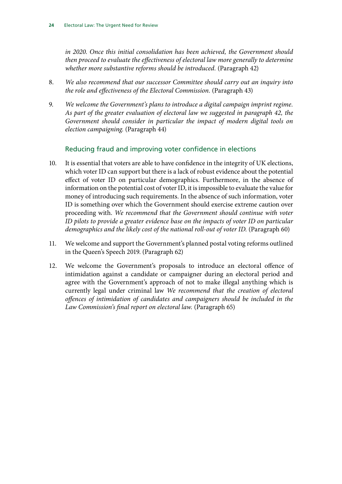*in 2020. Once this initial consolidation has been achieved, the Government should then proceed to evaluate the effectiveness of electoral law more generally to determine whether more substantive reforms should be introduced.* (Paragraph 42)

- 8. *We also recommend that our successor Committee should carry out an inquiry into the role and effectiveness of the Electoral Commission.* (Paragraph 43)
- 9. *We welcome the Government's plans to introduce a digital campaign imprint regime. As part of the greater evaluation of electoral law we suggested in paragraph 42, the Government should consider in particular the impact of modern digital tools on election campaigning.* (Paragraph 44)

### Reducing fraud and improving voter confidence in elections

- 10. It is essential that voters are able to have confidence in the integrity of UK elections, which voter ID can support but there is a lack of robust evidence about the potential effect of voter ID on particular demographics. Furthermore, in the absence of information on the potential cost of voter ID, it is impossible to evaluate the value for money of introducing such requirements. In the absence of such information, voter ID is something over which the Government should exercise extreme caution over proceeding with. *We recommend that the Government should continue with voter ID pilots to provide a greater evidence base on the impacts of voter ID on particular demographics and the likely cost of the national roll-out of voter ID.* (Paragraph 60)
- 11. We welcome and support the Government's planned postal voting reforms outlined in the Queen's Speech 2019. (Paragraph 62)
- 12. We welcome the Government's proposals to introduce an electoral offence of intimidation against a candidate or campaigner during an electoral period and agree with the Government's approach of not to make illegal anything which is currently legal under criminal law *We recommend that the creation of electoral offences of intimidation of candidates and campaigners should be included in the Law Commission's final report on electoral law.* (Paragraph 65)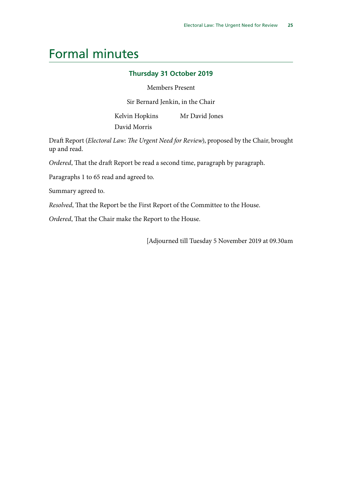## <span id="page-26-0"></span>Formal minutes

### **Thursday 31 October 2019**

#### Members Present

Sir Bernard Jenkin, in the Chair

Kelvin Hopkins Mr David Jones

David Morris

Draft Report (*Electoral Law: The Urgent Need for Review*), proposed by the Chair, brought up and read.

*Ordered*, That the draft Report be read a second time, paragraph by paragraph.

Paragraphs 1 to 65 read and agreed to.

Summary agreed to.

*Resolved*, That the Report be the First Report of the Committee to the House.

*Ordered*, That the Chair make the Report to the House.

[Adjourned till Tuesday 5 November 2019 at 09.30am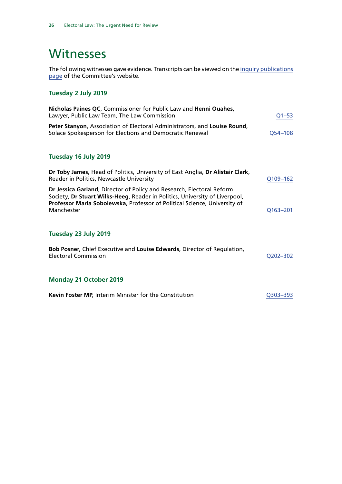## <span id="page-27-0"></span>**Witnesses**

The following witnesses gave evidence. Transcripts can be viewed on the [inquiry publications](https://www.parliament.uk/business/committees/committees-a-z/commons-select/public-administration-and-constitutional-affairs-committee/inquiries/parliament-2017/electoral-law-inquiry-17-19/publications/) [page](https://www.parliament.uk/business/committees/committees-a-z/commons-select/public-administration-and-constitutional-affairs-committee/inquiries/parliament-2017/electoral-law-inquiry-17-19/publications/) of the Committee's website.

## **Tuesday 2 July 2019**

| Nicholas Paines QC, Commissioner for Public Law and Henni Ouahes,<br>Lawyer, Public Law Team, The Law Commission                                                                                                                                | $Q1 - 53$   |
|-------------------------------------------------------------------------------------------------------------------------------------------------------------------------------------------------------------------------------------------------|-------------|
| Peter Stanyon, Association of Electoral Administrators, and Louise Round,<br>Solace Spokesperson for Elections and Democratic Renewal                                                                                                           | $Q54 - 108$ |
| Tuesday 16 July 2019                                                                                                                                                                                                                            |             |
| Dr Toby James, Head of Politics, University of East Anglia, Dr Alistair Clark,<br>Reader in Politics, Newcastle University                                                                                                                      | Q109-162    |
| Dr Jessica Garland, Director of Policy and Research, Electoral Reform<br>Society, Dr Stuart Wilks-Heeg, Reader in Politics, University of Liverpool,<br>Professor Maria Sobolewska, Professor of Political Science, University of<br>Manchester | Q163-201    |
| Tuesday 23 July 2019                                                                                                                                                                                                                            |             |
| Bob Posner, Chief Executive and Louise Edwards, Director of Regulation,<br><b>Electoral Commission</b>                                                                                                                                          | Q202-302    |
| <b>Monday 21 October 2019</b>                                                                                                                                                                                                                   |             |
| Kevin Foster MP, Interim Minister for the Constitution                                                                                                                                                                                          | O303-393    |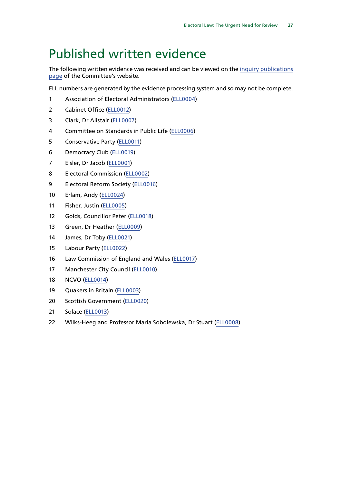## <span id="page-28-0"></span>Published written evidence

The following written evidence was received and can be viewed on the [inquiry publications](https://www.parliament.uk/business/committees/committees-a-z/commons-select/public-administration-and-constitutional-affairs-committee/inquiries/parliament-2017/electoral-law-inquiry-17-19/publications/) [page](https://www.parliament.uk/business/committees/committees-a-z/commons-select/public-administration-and-constitutional-affairs-committee/inquiries/parliament-2017/electoral-law-inquiry-17-19/publications/) of the Committee's website.

ELL numbers are generated by the evidence processing system and so may not be complete.

- Association of Electoral Administrators [\(ELL0004\)](http://data.parliament.uk/WrittenEvidence/CommitteeEvidence.svc/EvidenceDocument/Public%20Administration%20and%20Constitutional%20Affairs%20Committee%20/Electoral%20Law/Written/102107.html)
- Cabinet Office ([ELL0012\)](http://data.parliament.uk/WrittenEvidence/CommitteeEvidence.svc/EvidenceDocument/Public%20Administration%20and%20Constitutional%20Affairs%20Committee%20/Electoral%20Law/Written/102695.html)
- Clark, Dr Alistair [\(ELL0007\)](http://data.parliament.uk/WrittenEvidence/CommitteeEvidence.svc/EvidenceDocument/Public%20Administration%20and%20Constitutional%20Affairs%20Committee%20/Electoral%20Law/Written/102326.html)
- Committee on Standards in Public Life [\(ELL0006\)](http://data.parliament.uk/WrittenEvidence/CommitteeEvidence.svc/EvidenceDocument/Public%20Administration%20and%20Constitutional%20Affairs%20Committee%20/Electoral%20Law/Written/102310.html)
- Conservative Party ([ELL0011](http://data.parliament.uk/WrittenEvidence/CommitteeEvidence.svc/EvidenceDocument/Public%20Administration%20and%20Constitutional%20Affairs%20Committee%20/Electoral%20Law/Written/102694.html))
- Democracy Club [\(ELL0019](http://data.parliament.uk/WrittenEvidence/CommitteeEvidence.svc/EvidenceDocument/Public%20Administration%20and%20Constitutional%20Affairs%20Committee%20/Electoral%20Law/Written/102718.html))
- Eisler, Dr Jacob [\(ELL0001\)](http://data.parliament.uk/WrittenEvidence/CommitteeEvidence.svc/EvidenceDocument/Public%20Administration%20and%20Constitutional%20Affairs%20Committee%20/Electoral%20Law/Written/99950.html)
- Electoral Commission ([ELL0002](http://data.parliament.uk/WrittenEvidence/CommitteeEvidence.svc/EvidenceDocument/Public%20Administration%20and%20Constitutional%20Affairs%20Committee%20/Electoral%20Law/Written/101233.html))
- Electoral Reform Society ([ELL0016](http://data.parliament.uk/WrittenEvidence/CommitteeEvidence.svc/EvidenceDocument/Public%20Administration%20and%20Constitutional%20Affairs%20Committee%20/Electoral%20Law/Written/102703.html))
- Erlam, Andy [\(ELL0024](http://data.parliament.uk/WrittenEvidence/CommitteeEvidence.svc/EvidenceDocument/Public%20Administration%20and%20Constitutional%20Affairs%20Committee%20/Electoral%20Law/Written/106364.html))
- Fisher, Justin ([ELL0005](http://data.parliament.uk/WrittenEvidence/CommitteeEvidence.svc/EvidenceDocument/Public%20Administration%20and%20Constitutional%20Affairs%20Committee%20/Electoral%20Law/Written/102168.html))
- Golds, Councillor Peter [\(ELL0018\)](http://data.parliament.uk/WrittenEvidence/CommitteeEvidence.svc/EvidenceDocument/Public%20Administration%20and%20Constitutional%20Affairs%20Committee%20/Electoral%20Law/Written/102714.html)
- Green, Dr Heather ([ELL0009](http://data.parliament.uk/WrittenEvidence/CommitteeEvidence.svc/EvidenceDocument/Public%20Administration%20and%20Constitutional%20Affairs%20Committee%20/Electoral%20Law/Written/102563.html))
- James, Dr Toby [\(ELL0021\)](http://data.parliament.uk/WrittenEvidence/CommitteeEvidence.svc/EvidenceDocument/Public%20Administration%20and%20Constitutional%20Affairs%20Committee%20/Electoral%20Law/Written/102751.html)
- Labour Party ([ELL0022\)](http://data.parliament.uk/WrittenEvidence/CommitteeEvidence.svc/EvidenceDocument/Public%20Administration%20and%20Constitutional%20Affairs%20Committee%20/Electoral%20Law/Written/102832.html)
- Law Commission of England and Wales [\(ELL0017\)](http://data.parliament.uk/WrittenEvidence/CommitteeEvidence.svc/EvidenceDocument/Public%20Administration%20and%20Constitutional%20Affairs%20Committee%20/Electoral%20Law/Written/102712.html)
- Manchester City Council ([ELL0010](http://data.parliament.uk/WrittenEvidence/CommitteeEvidence.svc/EvidenceDocument/Public%20Administration%20and%20Constitutional%20Affairs%20Committee%20/Electoral%20Law/Written/102691.html))
- NCVO ([ELL0014\)](http://data.parliament.uk/WrittenEvidence/CommitteeEvidence.svc/EvidenceDocument/Public%20Administration%20and%20Constitutional%20Affairs%20Committee%20/Electoral%20Law/Written/102698.html)
- Quakers in Britain ([ELL0003\)](http://data.parliament.uk/WrittenEvidence/CommitteeEvidence.svc/EvidenceDocument/Public%20Administration%20and%20Constitutional%20Affairs%20Committee%20/Electoral%20Law/Written/101395.html)
- Scottish Government [\(ELL0020\)](http://data.parliament.uk/WrittenEvidence/CommitteeEvidence.svc/EvidenceDocument/Public%20Administration%20and%20Constitutional%20Affairs%20Committee%20/Electoral%20Law/Written/102734.html)
- Solace [\(ELL0013](http://data.parliament.uk/WrittenEvidence/CommitteeEvidence.svc/EvidenceDocument/Public%20Administration%20and%20Constitutional%20Affairs%20Committee%20/Electoral%20Law/Written/102697.html))
- Wilks-Heeg and Professor Maria Sobolewska, Dr Stuart [\(ELL0008](http://data.parliament.uk/WrittenEvidence/CommitteeEvidence.svc/EvidenceDocument/Public%20Administration%20and%20Constitutional%20Affairs%20Committee%20/Electoral%20Law/Written/102542.html))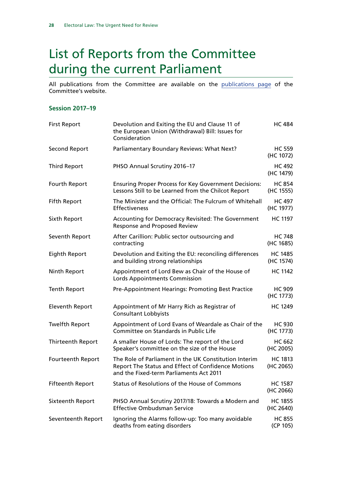## <span id="page-29-0"></span>List of Reports from the Committee during the current Parliament

All publications from the Committee are available on the [publications page](https://www.parliament.uk/business/committees/committees-a-z/commons-select/public-administration-and-constitutional-affairs-committee/publications/) of the Committee's website.

#### **Session 2017–19**

| <b>First Report</b>      | Devolution and Exiting the EU and Clause 11 of<br>the European Union (Withdrawal) Bill: Issues for<br>Consideration                                    | <b>HC 484</b>               |
|--------------------------|--------------------------------------------------------------------------------------------------------------------------------------------------------|-----------------------------|
| <b>Second Report</b>     | Parliamentary Boundary Reviews: What Next?                                                                                                             | <b>HC 559</b><br>(HC 1072)  |
| <b>Third Report</b>      | PHSO Annual Scrutiny 2016-17                                                                                                                           | <b>HC 492</b><br>(HC 1479)  |
| Fourth Report            | <b>Ensuring Proper Process for Key Government Decisions:</b><br>Lessons Still to be Learned from the Chilcot Report                                    | <b>HC 854</b><br>(HC 1555)  |
| <b>Fifth Report</b>      | The Minister and the Official: The Fulcrum of Whitehall<br><b>Effectiveness</b>                                                                        | <b>HC 497</b><br>(HC 1977)  |
| Sixth Report             | Accounting for Democracy Revisited: The Government<br><b>Response and Proposed Review</b>                                                              | <b>HC 1197</b>              |
| Seventh Report           | After Carillion: Public sector outsourcing and<br>contracting                                                                                          | <b>HC 748</b><br>(HC 1685)  |
| Eighth Report            | Devolution and Exiting the EU: reconciling differences<br>and building strong relationships                                                            | <b>HC 1485</b><br>(HC 1574) |
| Ninth Report             | Appointment of Lord Bew as Chair of the House of<br>Lords Appointments Commission                                                                      | <b>HC 1142</b>              |
| <b>Tenth Report</b>      | Pre-Appointment Hearings: Promoting Best Practice                                                                                                      | <b>HC 909</b><br>(HC 1773)  |
| <b>Eleventh Report</b>   | Appointment of Mr Harry Rich as Registrar of<br><b>Consultant Lobbyists</b>                                                                            | <b>HC 1249</b>              |
| <b>Twelfth Report</b>    | Appointment of Lord Evans of Weardale as Chair of the<br>Committee on Standards in Public Life                                                         | <b>HC 930</b><br>(HC 1773)  |
| Thirteenth Report        | A smaller House of Lords: The report of the Lord<br>Speaker's committee on the size of the House                                                       | <b>HC 662</b><br>(HC 2005)  |
| <b>Fourteenth Report</b> | The Role of Parliament in the UK Constitution Interim<br>Report The Status and Effect of Confidence Motions<br>and the Fixed-term Parliaments Act 2011 | <b>HC 1813</b><br>(HC 2065) |
| <b>Fifteenth Report</b>  | Status of Resolutions of the House of Commons                                                                                                          | <b>HC 1587</b><br>(HC 2066) |
| Sixteenth Report         | PHSO Annual Scrutiny 2017/18: Towards a Modern and<br><b>Effective Ombudsman Service</b>                                                               | <b>HC 1855</b><br>(HC 2640) |
| Seventeenth Report       | Ignoring the Alarms follow-up: Too many avoidable<br>deaths from eating disorders                                                                      | <b>HC 855</b><br>(CP 105)   |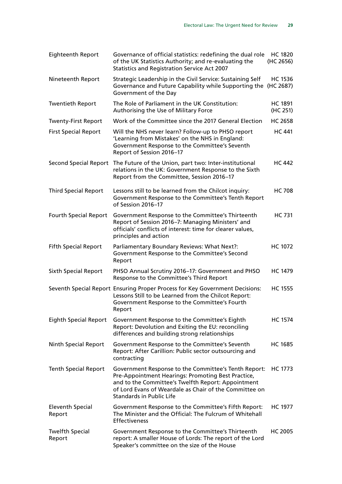| <b>Eighteenth Report</b>          | Governance of official statistics: redefining the dual role<br>of the UK Statistics Authority; and re-evaluating the<br><b>Statistics and Registration Service Act 2007</b>                                                                                   | <b>HC 1820</b><br>(HC 2656) |
|-----------------------------------|---------------------------------------------------------------------------------------------------------------------------------------------------------------------------------------------------------------------------------------------------------------|-----------------------------|
| Nineteenth Report                 | Strategic Leadership in the Civil Service: Sustaining Self<br>Governance and Future Capability while Supporting the (HC 2687)<br>Government of the Day                                                                                                        | <b>HC 1536</b>              |
| <b>Twentieth Report</b>           | The Role of Parliament in the UK Constitution:<br>Authorising the Use of Military Force                                                                                                                                                                       | <b>HC 1891</b><br>(HC 251)  |
| <b>Twenty-First Report</b>        | Work of the Committee since the 2017 General Election                                                                                                                                                                                                         | <b>HC 2658</b>              |
| <b>First Special Report</b>       | Will the NHS never learn? Follow-up to PHSO report<br>'Learning from Mistakes' on the NHS in England:<br>Government Response to the Committee's Seventh<br>Report of Session 2016-17                                                                          | <b>HC 441</b>               |
| <b>Second Special Report</b>      | The Future of the Union, part two: Inter-institutional<br>relations in the UK: Government Response to the Sixth<br>Report from the Committee, Session 2016-17                                                                                                 | <b>HC 442</b>               |
| <b>Third Special Report</b>       | Lessons still to be learned from the Chilcot inquiry:<br>Government Response to the Committee's Tenth Report<br>of Session 2016-17                                                                                                                            | <b>HC 708</b>               |
| <b>Fourth Special Report</b>      | Government Response to the Committee's Thirteenth<br>Report of Session 2016-7: Managing Ministers' and<br>officials' conflicts of interest: time for clearer values,<br>principles and action                                                                 | <b>HC 731</b>               |
| <b>Fifth Special Report</b>       | Parliamentary Boundary Reviews: What Next?:<br>Government Response to the Committee's Second<br>Report                                                                                                                                                        | <b>HC 1072</b>              |
| <b>Sixth Special Report</b>       | PHSO Annual Scrutiny 2016-17: Government and PHSO<br>Response to the Committee's Third Report                                                                                                                                                                 | <b>HC 1479</b>              |
|                                   | Seventh Special Report Ensuring Proper Process for Key Government Decisions:<br>Lessons Still to be Learned from the Chilcot Report:<br>Government Response to the Committee's Fourth<br>Report                                                               | <b>HC 1555</b>              |
| <b>Eighth Special Report</b>      | Government Response to the Committee's Eighth<br>Report: Devolution and Exiting the EU: reconciling<br>differences and building strong relationships                                                                                                          | <b>HC 1574</b>              |
| Ninth Special Report              | Government Response to the Committee's Seventh<br>Report: After Carillion: Public sector outsourcing and<br>contracting                                                                                                                                       | <b>HC 1685</b>              |
| <b>Tenth Special Report</b>       | Government Response to the Committee's Tenth Report:<br>Pre-Appointment Hearings: Promoting Best Practice,<br>and to the Committee's Twelfth Report: Appointment<br>of Lord Evans of Weardale as Chair of the Committee on<br><b>Standards in Public Life</b> | <b>HC 1773</b>              |
| <b>Eleventh Special</b><br>Report | Government Response to the Committee's Fifth Report:<br>The Minister and the Official: The Fulcrum of Whitehall<br><b>Effectiveness</b>                                                                                                                       | <b>HC 1977</b>              |
| <b>Twelfth Special</b><br>Report  | Government Response to the Committee's Thirteenth<br>report: A smaller House of Lords: The report of the Lord<br>Speaker's committee on the size of the House                                                                                                 | <b>HC 2005</b>              |